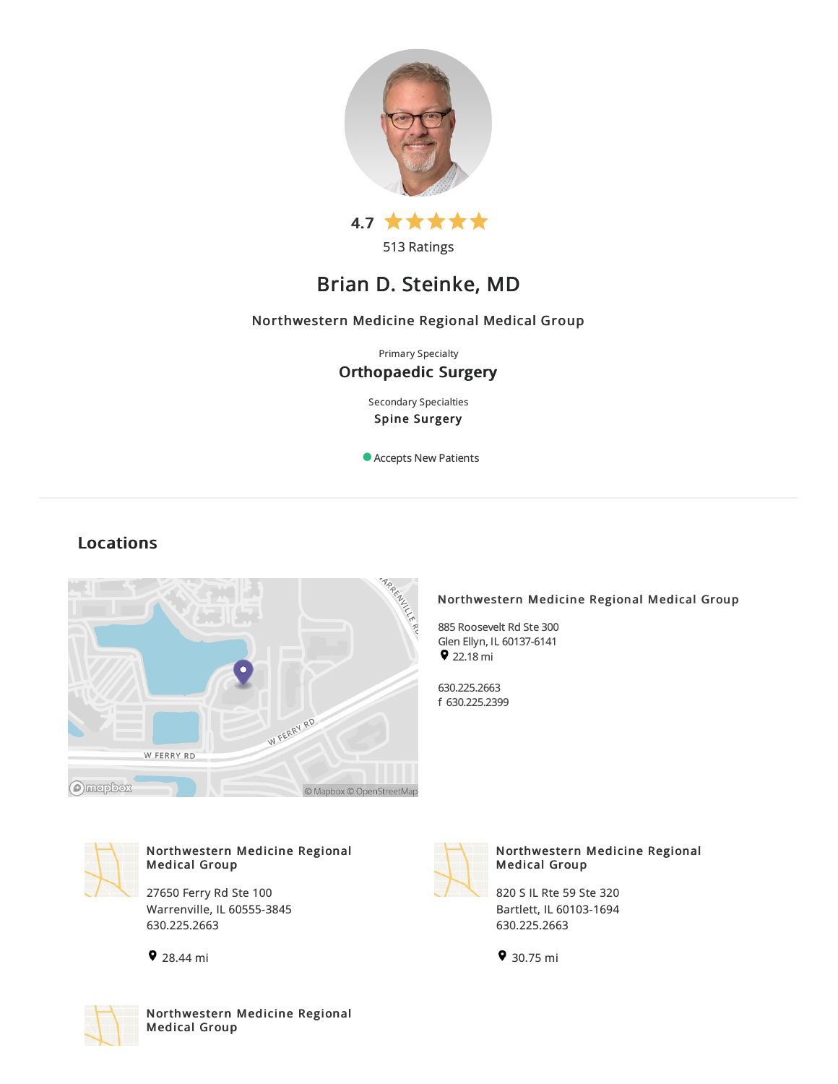

513 Ratings

# Brian D. Steinke, MD

## Northwestern Medicine Regional Medical Group

Primary Specialty Orthopaedic Surgery

> Secondary Specialties Spine Surgery

Accepts New Patients

## Locations



## Northwestern Medicine Regional Medical Group

885 Roosevelt Rd Ste300 Glen Ellyn, IL 60137-6141  $922.18 mi$ 

630.225.2663 f 630.225.2399



## Northwestern Medicine Regional Medical Group

27650 Ferry Rd Ste 100 Warrenville, IL 60555-3845 630.225.2663





## Northwestern Medicine Regional Medical Group

820 S IL Rte 59 Ste 320 Bartlett, IL60103-1694 630.225.2663

30.75 mi



Northwestern Medicine Regional Medical Group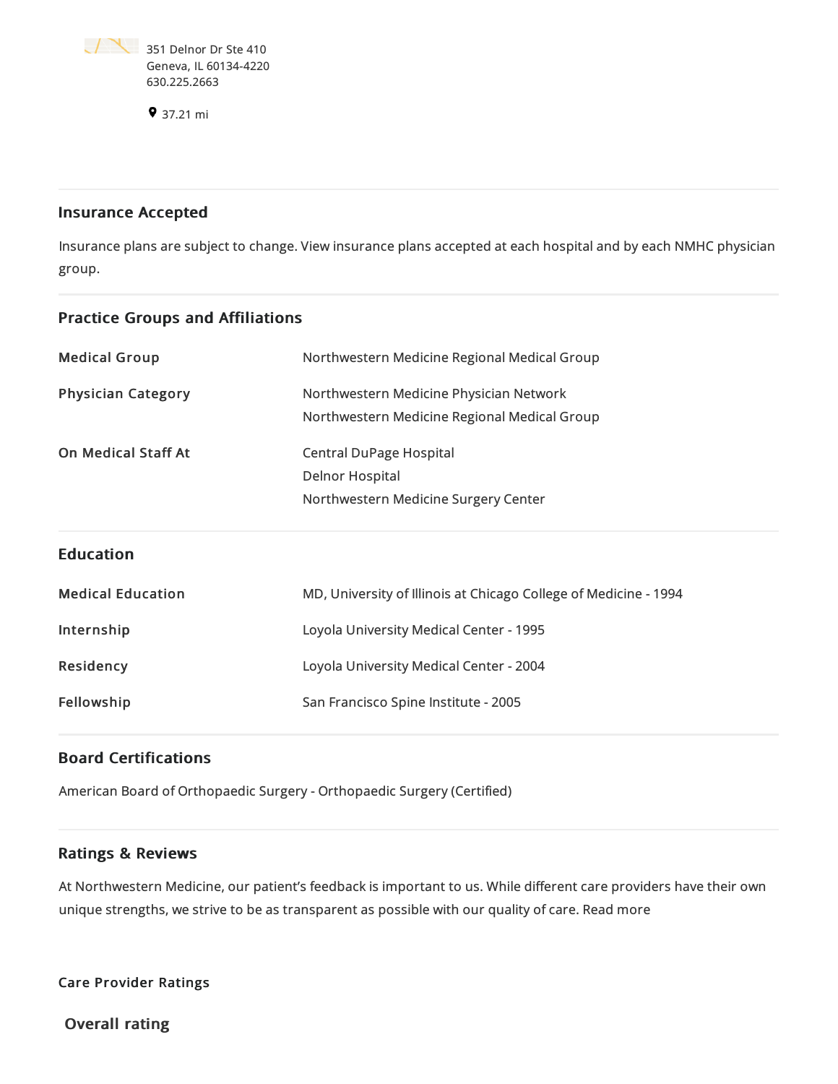

37.21 mi

## Insurance Accepted

Insurance plans are subject to change. View [insurance](https://www.nm.org/patients-and-visitors/billing-and-insurance/insurance-information/accepted-insurance-plans) plans accepted at each hospital and by each NMHC physician group.

| <b>Practice Groups and Affiliations</b> |                                                                                                                                           |
|-----------------------------------------|-------------------------------------------------------------------------------------------------------------------------------------------|
| <b>Medical Group</b>                    | Northwestern Medicine Regional Medical Group                                                                                              |
| <b>Physician Category</b>               | Northwestern Medicine Physician Network                                                                                                   |
| <b>On Medical Staff At</b>              | Northwestern Medicine Regional Medical Group<br><b>Central DuPage Hospital</b><br>Delnor Hospital<br>Northwestern Medicine Surgery Center |
| <b>Education</b>                        |                                                                                                                                           |
| <b>Medical Education</b>                | MD, University of Illinois at Chicago College of Medicine - 1994                                                                          |
| Internship                              | Loyola University Medical Center - 1995                                                                                                   |
| Residency                               | Loyola University Medical Center - 2004                                                                                                   |
| Fellowship                              | San Francisco Spine Institute - 2005                                                                                                      |

## Board Certifications

American Board of Orthopaedic Surgery - Orthopaedic Surgery (Certified)

## Ratings & Reviews

At Northwestern Medicine, our patient's feedback is important to us. While different care providers have their own unique strengths, we strive to be as transparent as possible with our quality of care. Read more

Care Provider Ratings

Overall rating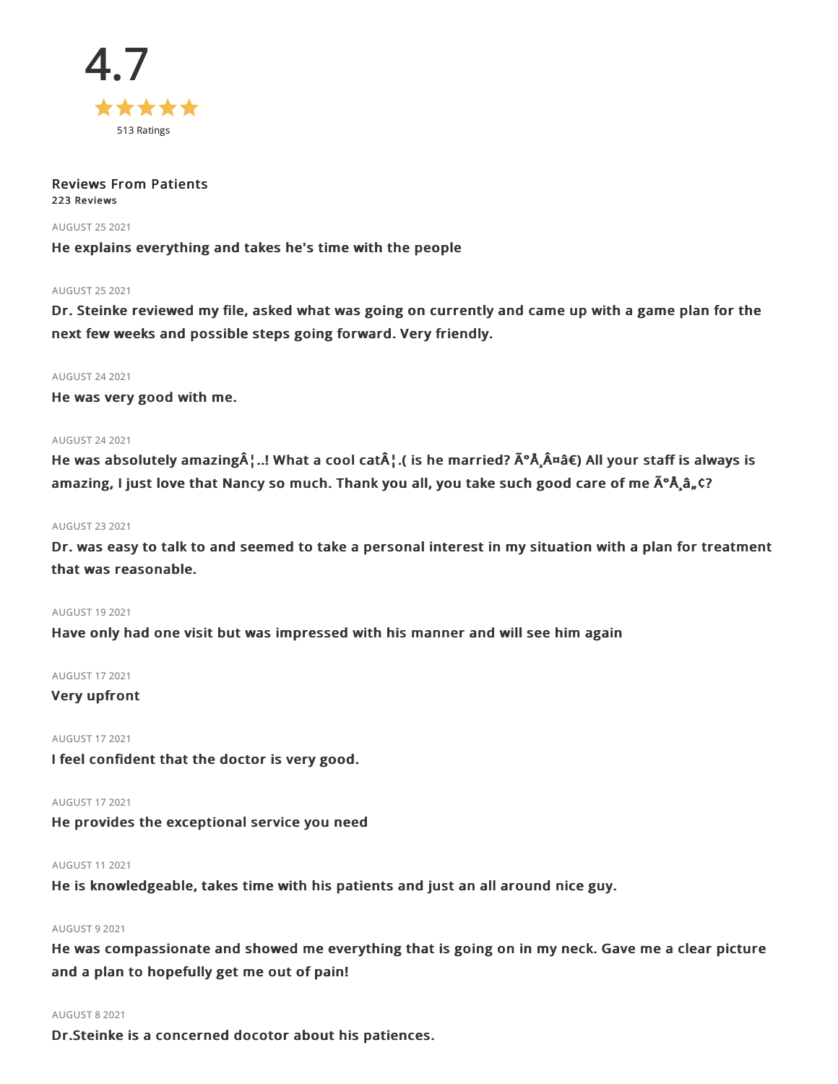

#### Reviews From Patients 223 Reviews

## AUGUST 252021

He explains everything and takes he's time with the people

## AUGUST 252021

Dr. Steinke reviewed my file, asked what was going on currently and came up with a game plan for the next few weeks and possible steps going forward. Very friendly.

#### AUGUST 242021

He was very good with me.

## AUGUST 242021

He was absolutely amazing¦..! What a cool cat¦.( is he married?  $\tilde{A}^{\circ}$ Å $\tilde{A}^{\alpha}$ a $\tilde{a}$ €) All your staff is always is amazing, I just love that Nancy so much. Thank you all, you take such good care of me  $\tilde{A}^{\circ} \tilde{A}_a \tilde{a}_r$ ,  $\tilde{C}^2$ 

## AUGUST 232021

Dr. was easy to talk to and seemed to take a personal interest in my situation with a plan for treatment that was reasonable.

## AUGUST 192021

Have only had one visit but was impressed with his manner and will see him again

## AUGUST 172021

## Very upfront

## AUGUST 172021

I feel confident that the doctor is very good.

#### AUGUST 172021

He provides the exceptional service you need

### AUGUST 112021

He is knowledgeable, takes time with his patients and just an all around nice guy.

### AUGUST 92021

He was compassionate and showed me everything that is going on in my neck. Gave me a clear picture and a plan to hopefully get me out of pain!

#### AUGUST 82021

Dr.Steinke is a concerned docotor about his patiences.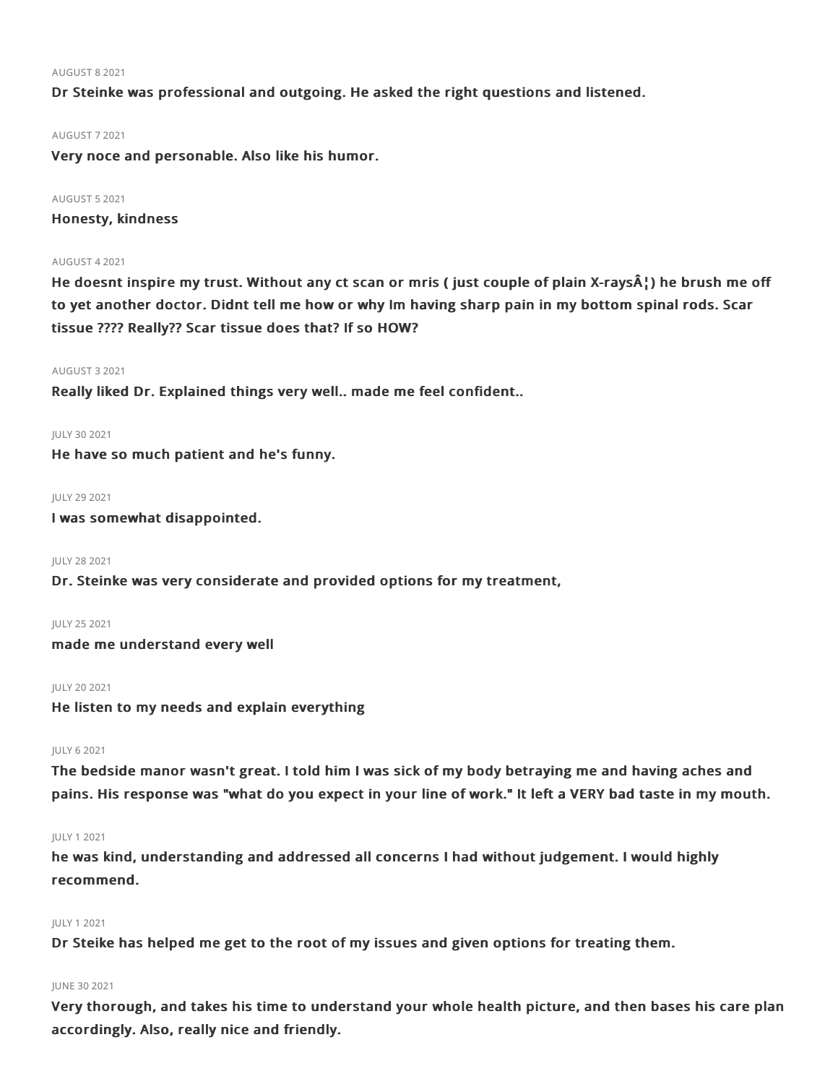#### AUGUST 82021

Dr Steinke was professional and outgoing. He asked the right questions and listened.

#### AUGUST 72021

Very noce and personable. Also like his humor.

#### AUGUST 52021

Honesty, kindness

## AUGUST 42021

He doesnt inspire my trust. Without any ct scan or mris ( just couple of plain X-rays $\hat{A}$ ) he brush me off to yet another doctor. Didnt tell me how or why Im having sharp pain in my bottom spinal rods. Scar tissue ???? Really?? Scar tissue does that? If so HOW?

#### AUGUST 32021

Really liked Dr. Explained things very well.. made me feel confident..

#### JULY 302021

He have so much patient and he's funny.

JULY 29 2021

I was somewhat disappointed.

JULY 282021

Dr. Steinke was very considerate and provided options for my treatment,

JULY 252021 made me understand every well

#### JULY 202021

He listen to my needs and explain everything

#### JULY 62021

The bedside manor wasn't great. I told him I was sick of my body betraying me and having aches and pains. His response was "what do you expect in your line of work." It left a VERY bad taste in my mouth.

#### JULY 12021

he was kind, understanding and addressed all concerns I had without judgement. I would highly recommend.

## JULY 12021

Dr Steike has helped me get to the root of my issues and given options for treating them.

#### JUNE 302021

Very thorough, and takes his time to understand your whole health picture, and then bases his care plan accordingly. Also, really nice and friendly.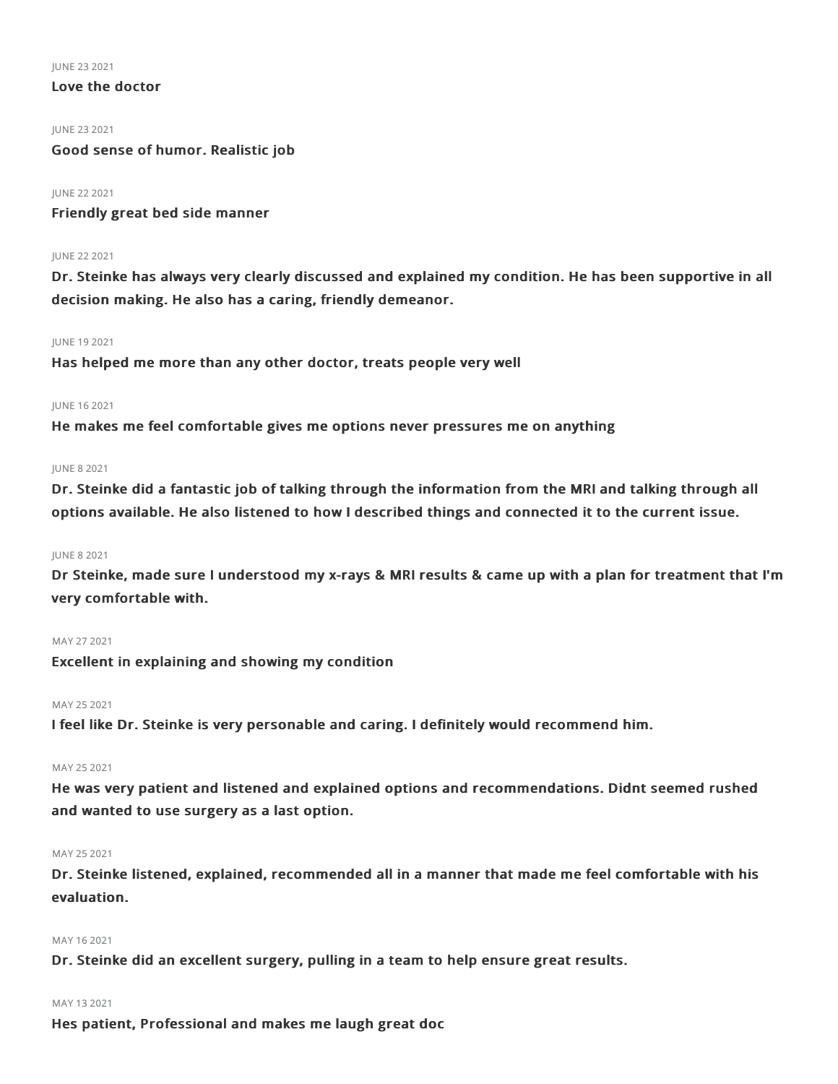JUNE 232021

## Love the doctor

#### JUNE 232021

Good sense of humor. Realistic job

## JUNE 222021

Friendly great bed side manner

#### JUNE 222021

Dr. Steinke has always very clearly discussed and explained my condition. He has been supportive in all decision making. He also has a caring, friendly demeanor.

#### JUNE 192021

Has helped me more than any other doctor, treats people very well

## JUNE 162021

He makes me feel comfortable gives me options never pressures me on anything

#### JUNE 82021

Dr. Steinke did a fantastic job of talking through the information from the MRI and talking through all options available. He also listened to how I described things and connected it to the current issue.

## JUNE 82021

Dr Steinke, made sure I understood my x-rays & MRI results & came up with a plan for treatment that I'm very comfortable with.

## MAY 272021

Excellent in explaining and showing my condition

#### MAY 252021

I feel like Dr. Steinke is very personable and caring. I definitely would recommend him.

## MAY 25 2021

He was very patient and listened and explained options and recommendations. Didnt seemed rushed and wanted to use surgery as a last option.

## MAY 25 2021

Dr. Steinke listened, explained, recommended all in a manner that made me feel comfortable with his evaluation.

## MAY 162021

Dr. Steinke did an excellent surgery, pulling in a team to help ensure great results.

## MAY 132021

Hes patient, Professional and makes me laugh great doc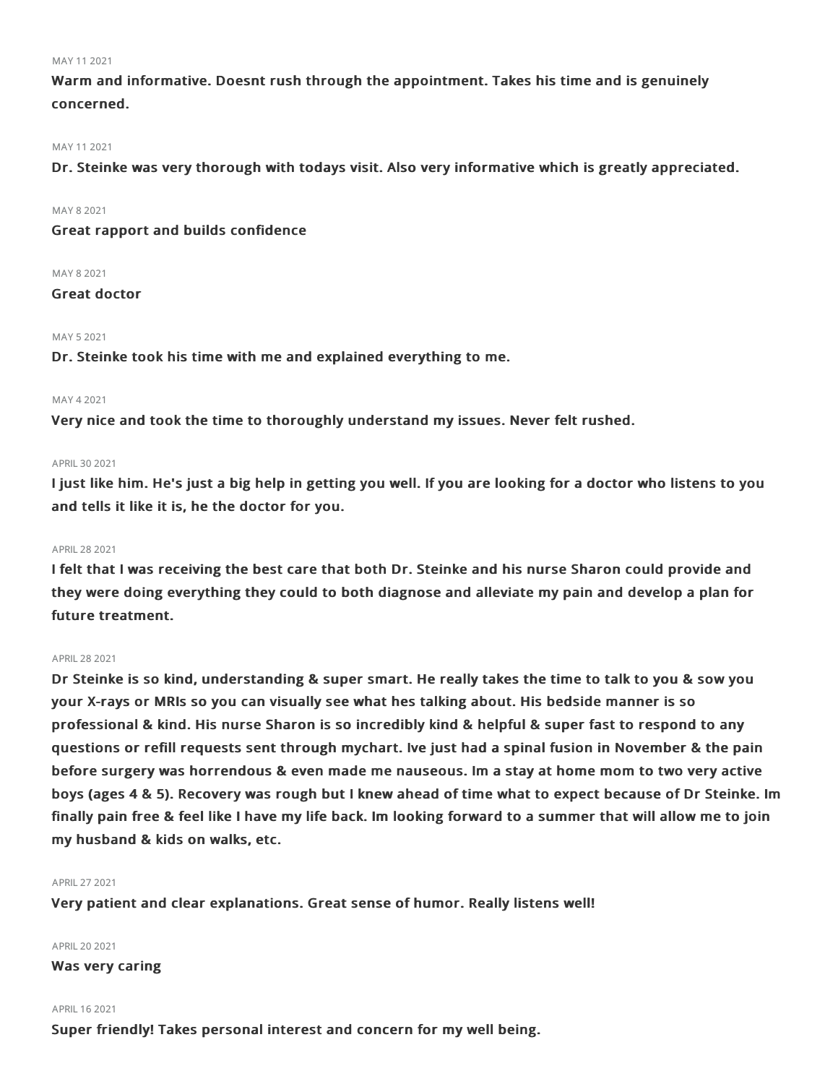#### MAY 112021

Warm and informative. Doesnt rush through the appointment. Takes his time and is genuinely concerned.

#### MAY 112021

Dr. Steinke was very thorough with todays visit. Also very informative which is greatly appreciated.

MAY 82021

Great rapport and builds confidence

#### MAY 82021

Great doctor

## MAY 52021

Dr. Steinke took his time with me and explained everything to me.

#### MAY 42021

Very nice and took the time to thoroughly understand my issues. Never felt rushed.

#### APRIL302021

I just like him. He's just a big help in getting you well. If you are looking for a doctor who listens to you and tells it like it is, he the doctor for you.

## APRIL282021

I felt that I was receiving the best care that both Dr. Steinke and his nurse Sharon could provide and they were doing everything they could to both diagnose and alleviate my pain and develop a plan for future treatment.

### APRIL282021

Dr Steinke is so kind, understanding & super smart. He really takes the time to talk to you & sow you your X-rays or MRIs so you can visually see what hes talking about. His bedside manner is so professional & kind. His nurse Sharon is so incredibly kind & helpful & super fast to respond to any questions or refill requests sent through mychart. Ive just had a spinal fusion in November & the pain before surgery was horrendous & even made me nauseous. Im a stay at home mom to two very active boys (ages 4 & 5). Recovery was rough but I knew ahead of time what to expect because of Dr Steinke. Im finally pain free & feel like I have my life back. Im looking forward to a summer that will allow me to join my husband & kids on walks, etc.

## APRIL272021

Very patient and clear explanations. Great sense of humor. Really listens well!

#### APRIL202021

Was very caring

#### APRIL162021

Super friendly! Takes personal interest and concern for my well being.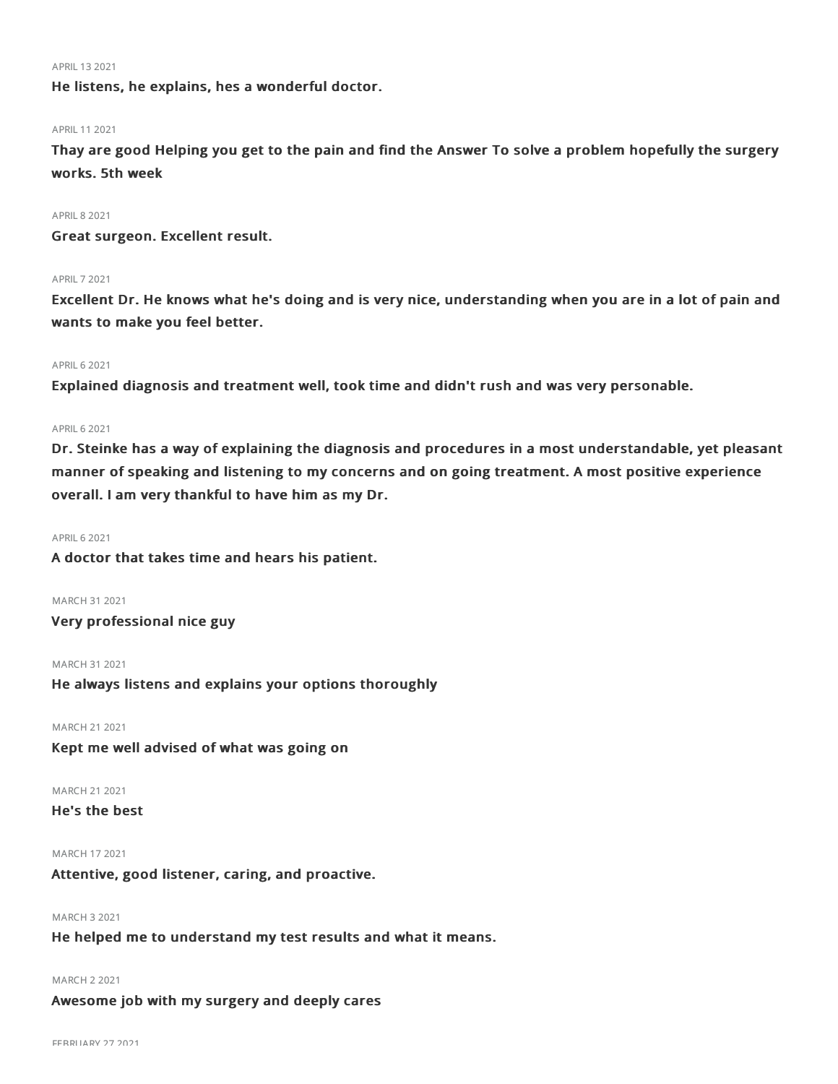#### APRIL 13 2021

He listens, he explains, hes a wonderful doctor.

#### APRIL 11 2021

Thay are good Helping you get to the pain and find the Answer To solve a problem hopefully the surgery works. 5th week

#### **APRIL 8 2021**

Great surgeon. Excellent result.

#### APRIL72021

Excellent Dr. He knows what he's doing and is very nice, understanding when you are in a lot of pain and wants to make you feel better.

## **APRIL 6 2021**

Explained diagnosis and treatment well, took time and didn't rush and was very personable.

## APRIL62021

Dr. Steinke has a way of explaining the diagnosis and procedures in a most understandable, yet pleasant manner of speaking and listening to my concerns and on going treatment. A most positive experience overall. I am very thankful to have him as my Dr.

#### **APRIL 6 2021**

A doctor that takes time and hears his patient.

MARCH 312021

Very professional nice guy

MARCH 312021 He always listens and explains your options thoroughly

MARCH 212021

Kept me well advised of what was going on

## MARCH 21 2021

## He's the best

## MARCH 172021

Attentive, good listener, caring, and proactive.

## MARCH 32021

He helped me to understand my test results and what it means.

#### MARCH 22021

Awesome job with my surgery and deeply cares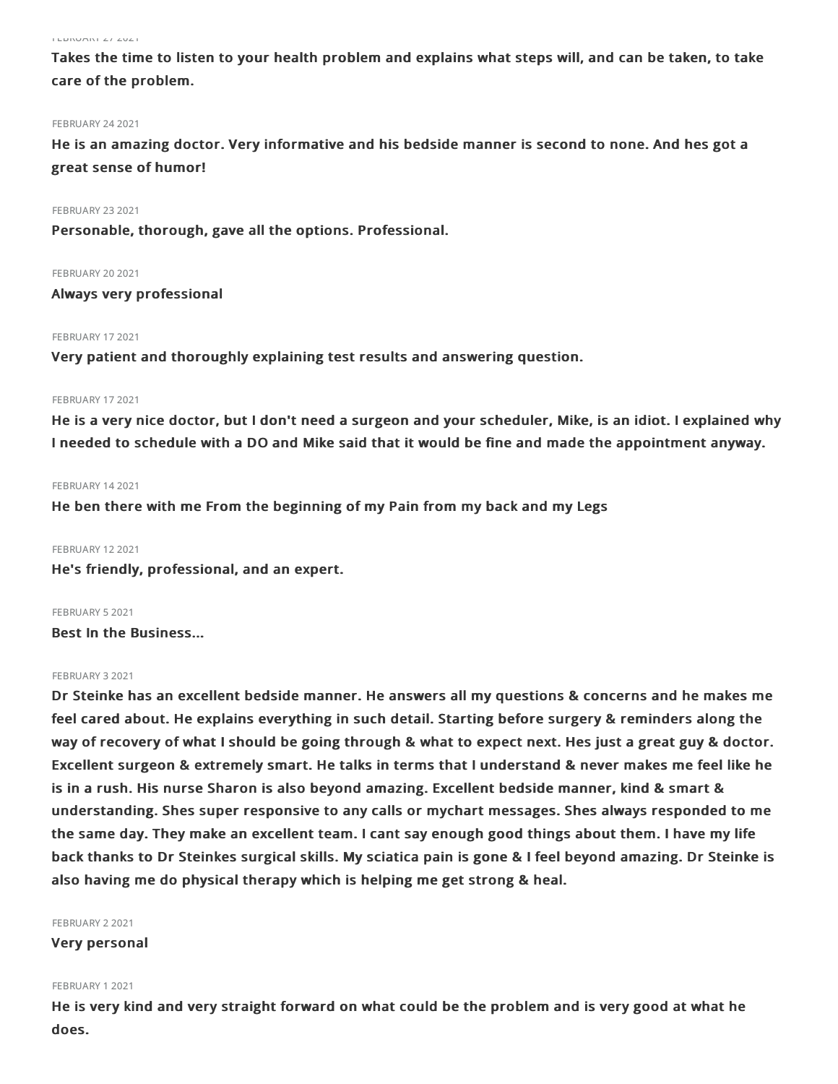#### FEBRUARY 272021

Takes the time to listen to your health problem and explains what steps will, and can be taken, to take care of the problem.

#### FEBRUARY 24 2021

He is an amazing doctor. Very informative and his bedside manner is second to none. And hes got a great sense of humor!

FEBRUARY 23 2021

Personable, thorough, gave all the options. Professional.

**FEBRUARY 20 2021** 

Always very professional

### FEBRUARY 17 2021

Very patient and thoroughly explaining test results and answering question.

#### FEBRUARY 17 2021

He is a very nice doctor, but I don't need a surgeon and your scheduler, Mike, is an idiot. I explained why I needed to schedule with a DO and Mike said that it would be fine and made the appointment anyway.

#### FEBRUARY 14 2021

He ben there with me From the beginning of my Pain from my back and my Legs

FEBRUARY 122021 He's friendly, professional, and an expert.

FEBRUARY 52021 Best In the Business...

### FEBRUARY 32021

Dr Steinke has an excellent bedside manner. He answers all my questions & concerns and he makes me feel cared about. He explains everything in such detail. Starting before surgery & reminders along the way of recovery of what I should be going through & what to expect next. Hes just a great guy & doctor. Excellent surgeon & extremely smart. He talks in terms that I understand & never makes me feel like he is in a rush. His nurse Sharon is also beyond amazing. Excellent bedside manner, kind & smart & understanding. Shes super responsive to any calls or mychart messages. Shes always responded to me the same day. They make an excellent team. I cant say enough good things about them. I have my life back thanks to Dr Steinkes surgical skills. My sciatica pain is gone & I feel beyond amazing. Dr Steinke is also having me do physical therapy which is helping me get strong & heal.

#### FEBRUARY 22021

Very personal

#### FEBRUARY 12021

He is very kind and very straight forward on what could be the problem and is very good at what he does.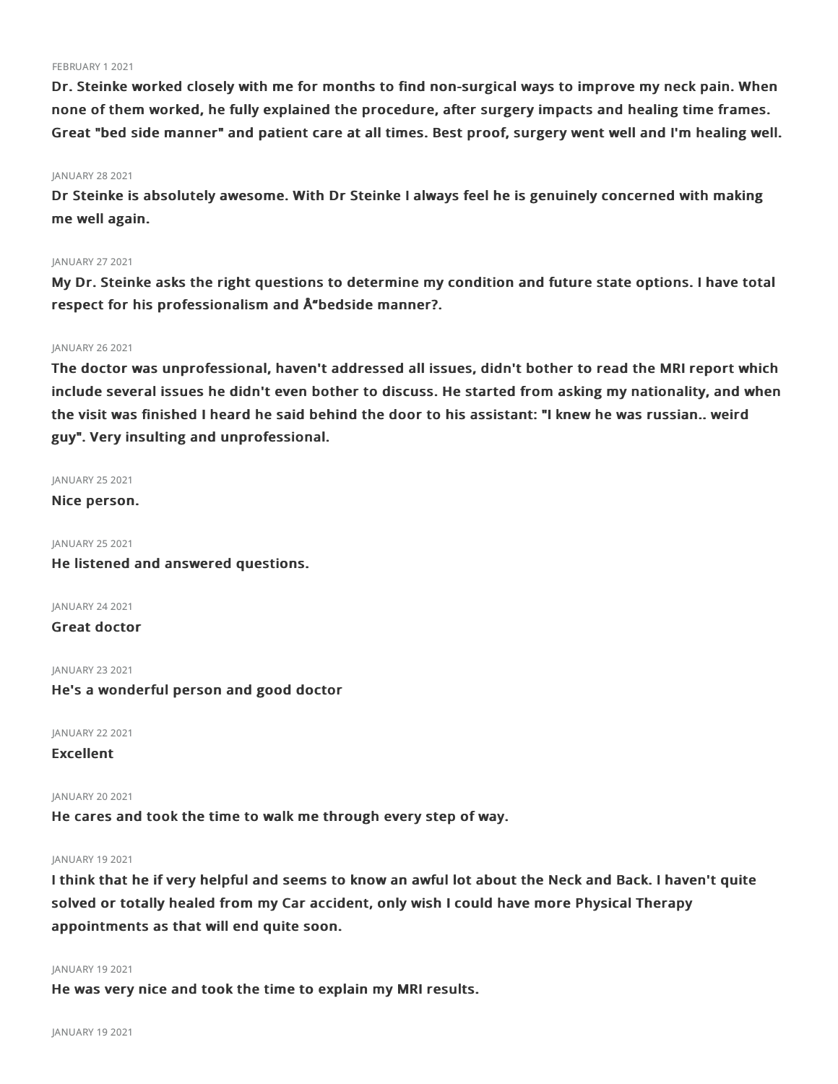#### FEBRUARY 12021

Dr. Steinke worked closely with me for months to find non-surgical ways to improve my neck pain. When none of them worked, he fully explained the procedure, after surgery impacts and healing time frames. Great "bed side manner" and patient care at all times. Best proof, surgery went well and I'm healing well.

#### JANUARY 28 2021

Dr Steinke is absolutely awesome. With Dr Steinke I always feel he is genuinely concerned with making me well again.

#### JANUARY 27 2021

My Dr. Steinke asks the right questions to determine my condition and future state options. I have total respect for his professionalism and Å bedside manner?.

## JANUARY 262021

The doctor was unprofessional, haven't addressed all issues, didn't bother to read the MRI report which include several issues he didn't even bother to discuss. He started from asking my nationality, and when the visit was finished I heard he said behind the door to his assistant: "I knew he was russian.. weird guy". Very insulting and unprofessional.

#### JANUARY 25 2021

Nice person.

JANUARY 252021 He listened and answered questions.

JANUARY 24 2021

Great doctor

JANUARY 232021

## He's a wonderful person and good doctor

JANUARY 222021

Excellent

JANUARY 20 2021

He cares and took the time to walk me through every step of way.

#### JANUARY 19 2021

I think that he if very helpful and seems to know an awful lot about the Neck and Back. I haven't quite solved or totally healed from my Car accident, only wish I could have more Physical Therapy appointments as that will end quite soon.

#### JANUARY 192021

He was very nice and took the time to explain my MRI results.